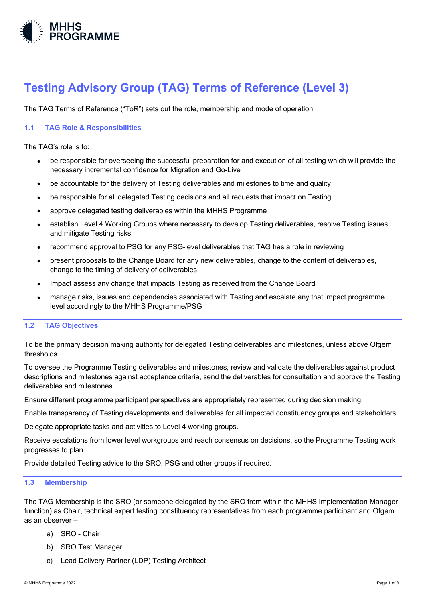

# **Testing Advisory Group (TAG) Terms of Reference (Level 3)**

The TAG Terms of Reference ("ToR") sets out the role, membership and mode of operation.

## **1.1 TAG Role & Responsibilities**

The TAG's role is to:

- be responsible for overseeing the successful preparation for and execution of all testing which will provide the necessary incremental confidence for Migration and Go-Live
- be accountable for the delivery of Testing deliverables and milestones to time and quality
- be responsible for all delegated Testing decisions and all requests that impact on Testing
- approve delegated testing deliverables within the MHHS Programme
- establish Level 4 Working Groups where necessary to develop Testing deliverables, resolve Testing issues and mitigate Testing risks
- recommend approval to PSG for any PSG-level deliverables that TAG has a role in reviewing
- present proposals to the Change Board for any new deliverables, change to the content of deliverables, change to the timing of delivery of deliverables
- Impact assess any change that impacts Testing as received from the Change Board
- manage risks, issues and dependencies associated with Testing and escalate any that impact programme level accordingly to the MHHS Programme/PSG

### **1.2 TAG Objectives**

To be the primary decision making authority for delegated Testing deliverables and milestones, unless above Ofgem thresholds.

To oversee the Programme Testing deliverables and milestones, review and validate the deliverables against product descriptions and milestones against acceptance criteria, send the deliverables for consultation and approve the Testing deliverables and milestones.

Ensure different programme participant perspectives are appropriately represented during decision making.

Enable transparency of Testing developments and deliverables for all impacted constituency groups and stakeholders.

Delegate appropriate tasks and activities to Level 4 working groups.

Receive escalations from lower level workgroups and reach consensus on decisions, so the Programme Testing work progresses to plan.

Provide detailed Testing advice to the SRO, PSG and other groups if required.

#### **1.3 Membership**

The TAG Membership is the SRO (or someone delegated by the SRO from within the MHHS Implementation Manager function) as Chair, technical expert testing constituency representatives from each programme participant and Ofgem as an observer –

- a) SRO Chair
- b) SRO Test Manager
- c) Lead Delivery Partner (LDP) Testing Architect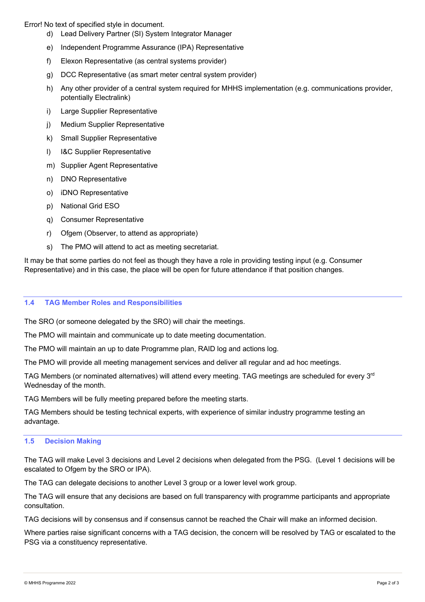Error! No text of specified style in document.

- d) Lead Delivery Partner (SI) System Integrator Manager
- e) Independent Programme Assurance (IPA) Representative
- f) Elexon Representative (as central systems provider)
- g) DCC Representative (as smart meter central system provider)
- h) Any other provider of a central system required for MHHS implementation (e.g. communications provider, potentially Electralink)
- i) Large Supplier Representative
- j) Medium Supplier Representative
- k) Small Supplier Representative
- l) I&C Supplier Representative
- m) Supplier Agent Representative
- n) DNO Representative
- o) iDNO Representative
- p) National Grid ESO
- q) Consumer Representative
- r) Ofgem (Observer, to attend as appropriate)
- s) The PMO will attend to act as meeting secretariat.

It may be that some parties do not feel as though they have a role in providing testing input (e.g. Consumer Representative) and in this case, the place will be open for future attendance if that position changes.

#### **1.4 TAG Member Roles and Responsibilities**

The SRO (or someone delegated by the SRO) will chair the meetings.

The PMO will maintain and communicate up to date meeting documentation.

The PMO will maintain an up to date Programme plan, RAID log and actions log.

The PMO will provide all meeting management services and deliver all regular and ad hoc meetings.

TAG Members (or nominated alternatives) will attend every meeting. TAG meetings are scheduled for every 3<sup>rd</sup> Wednesday of the month.

TAG Members will be fully meeting prepared before the meeting starts.

TAG Members should be testing technical experts, with experience of similar industry programme testing an advantage.

#### **1.5 Decision Making**

The TAG will make Level 3 decisions and Level 2 decisions when delegated from the PSG. (Level 1 decisions will be escalated to Ofgem by the SRO or IPA).

The TAG can delegate decisions to another Level 3 group or a lower level work group.

The TAG will ensure that any decisions are based on full transparency with programme participants and appropriate consultation.

TAG decisions will by consensus and if consensus cannot be reached the Chair will make an informed decision.

Where parties raise significant concerns with a TAG decision, the concern will be resolved by TAG or escalated to the PSG via a constituency representative.